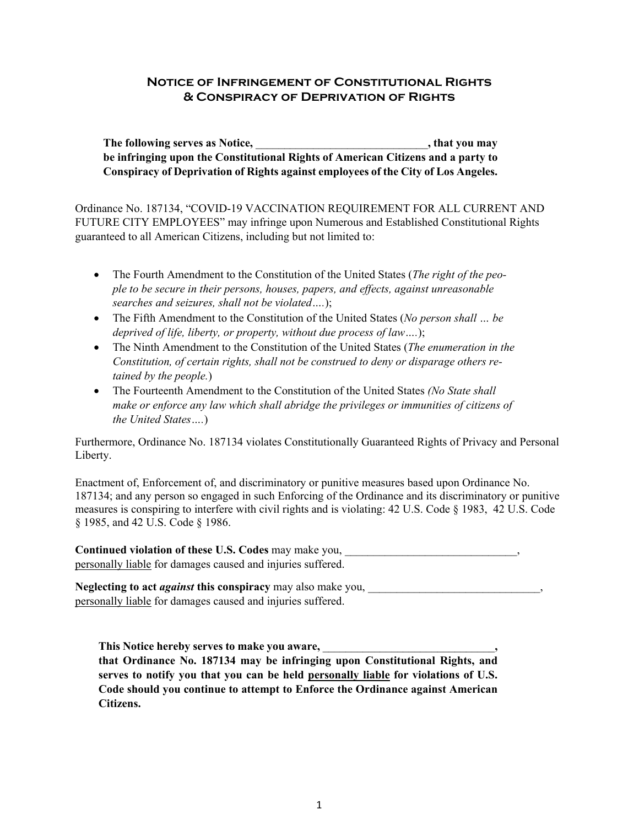## **Notice of Infringement of Constitutional Rights & Conspiracy of Deprivation of Rights**

**The following serves as Notice,** \_\_\_\_\_\_\_\_\_\_\_\_\_\_\_\_\_\_\_\_\_\_\_\_\_\_\_\_\_\_**, that you may be infringing upon the Constitutional Rights of American Citizens and a party to Conspiracy of Deprivation of Rights against employees of the City of Los Angeles.** 

Ordinance No. 187134, "COVID-19 VACCINATION REQUIREMENT FOR ALL CURRENT AND FUTURE CITY EMPLOYEES" may infringe upon Numerous and Established Constitutional Rights guaranteed to all American Citizens, including but not limited to:

- The Fourth Amendment to the Constitution of the United States (*The right of the people to be secure in their persons, houses, papers, and effects, against unreasonable searches and seizures, shall not be violated….*);
- The Fifth Amendment to the Constitution of the United States (*No person shall … be deprived of life, liberty, or property, without due process of law….*);
- The Ninth Amendment to the Constitution of the United States (*The enumeration in the Constitution, of certain rights, shall not be construed to deny or disparage others retained by the people.*)
- The Fourteenth Amendment to the Constitution of the United States *(No State shall make or enforce any law which shall abridge the privileges or immunities of citizens of the United States….*)

Furthermore, Ordinance No. 187134 violates Constitutionally Guaranteed Rights of Privacy and Personal Liberty.

Enactment of, Enforcement of, and discriminatory or punitive measures based upon Ordinance No. 187134; and any person so engaged in such Enforcing of the Ordinance and its discriminatory or punitive measures is conspiring to interfere with civil rights and is violating: 42 U.S. Code § 1983, 42 U.S. Code § 1985, and 42 U.S. Code § 1986.

Continued violation of these U.S. Codes may make you, \_\_\_\_\_\_\_\_\_\_\_\_\_\_\_\_\_\_\_\_\_\_\_\_\_\_ personally liable for damages caused and injuries suffered.

Neglecting to act *against* this conspiracy may also make you, personally liable for damages caused and injuries suffered.

**This Notice hereby serves to make you aware,** \_\_\_\_\_\_\_\_\_\_\_\_\_\_\_\_\_\_\_\_\_\_\_\_\_\_\_\_\_\_**, that Ordinance No. 187134 may be infringing upon Constitutional Rights, and serves to notify you that you can be held personally liable for violations of U.S. Code should you continue to attempt to Enforce the Ordinance against American Citizens.**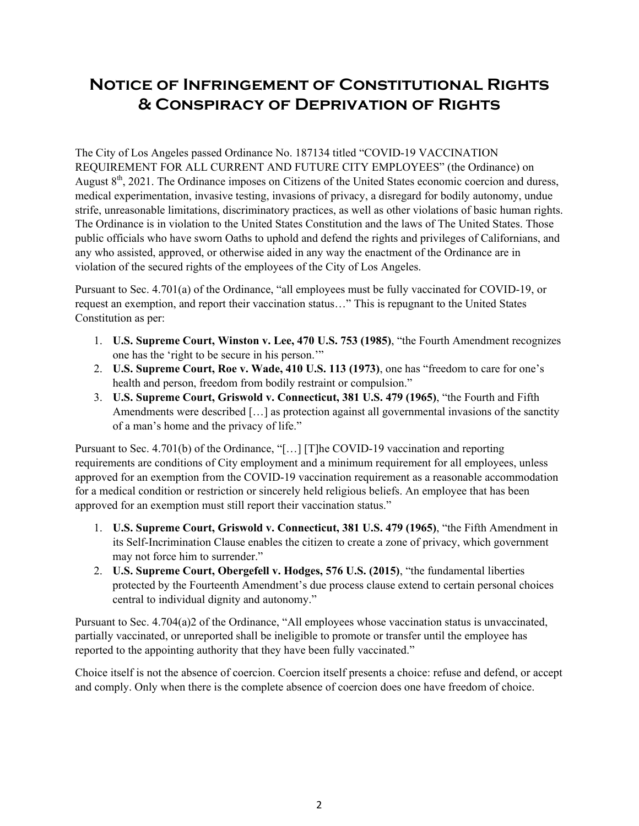## **Notice of Infringement of Constitutional Rights & Conspiracy of Deprivation of Rights**

The City of Los Angeles passed Ordinance No. 187134 titled "COVID-19 VACCINATION REQUIREMENT FOR ALL CURRENT AND FUTURE CITY EMPLOYEES" (the Ordinance) on August 8<sup>th</sup>, 2021. The Ordinance imposes on Citizens of the United States economic coercion and duress, medical experimentation, invasive testing, invasions of privacy, a disregard for bodily autonomy, undue strife, unreasonable limitations, discriminatory practices, as well as other violations of basic human rights. The Ordinance is in violation to the United States Constitution and the laws of The United States. Those public officials who have sworn Oaths to uphold and defend the rights and privileges of Californians, and any who assisted, approved, or otherwise aided in any way the enactment of the Ordinance are in violation of the secured rights of the employees of the City of Los Angeles.

Pursuant to Sec. 4.701(a) of the Ordinance, "all employees must be fully vaccinated for COVID-19, or request an exemption, and report their vaccination status…" This is repugnant to the United States Constitution as per:

- 1. **U.S. Supreme Court, Winston v. Lee, 470 U.S. 753 (1985)**, "the Fourth Amendment recognizes one has the 'right to be secure in his person.'"
- 2. **U.S. Supreme Court, Roe v. Wade, 410 U.S. 113 (1973)**, one has "freedom to care for one's health and person, freedom from bodily restraint or compulsion."
- 3. **U.S. Supreme Court, Griswold v. Connecticut, 381 U.S. 479 (1965)**, "the Fourth and Fifth Amendments were described [...] as protection against all governmental invasions of the sanctity of a man's home and the privacy of life."

Pursuant to Sec. 4.701(b) of the Ordinance, "[…] [T]he COVID-19 vaccination and reporting requirements are conditions of City employment and a minimum requirement for all employees, unless approved for an exemption from the COVID-19 vaccination requirement as a reasonable accommodation for a medical condition or restriction or sincerely held religious beliefs. An employee that has been approved for an exemption must still report their vaccination status."

- 1. **U.S. Supreme Court, Griswold v. Connecticut, 381 U.S. 479 (1965)**, "the Fifth Amendment in its Self-Incrimination Clause enables the citizen to create a zone of privacy, which government may not force him to surrender."
- 2. **U.S. Supreme Court, Obergefell v. Hodges, 576 U.S. (2015)**, "the fundamental liberties protected by the Fourteenth Amendment's due process clause extend to certain personal choices central to individual dignity and autonomy."

Pursuant to Sec. 4.704(a)2 of the Ordinance, "All employees whose vaccination status is unvaccinated, partially vaccinated, or unreported shall be ineligible to promote or transfer until the employee has reported to the appointing authority that they have been fully vaccinated."

Choice itself is not the absence of coercion. Coercion itself presents a choice: refuse and defend, or accept and comply. Only when there is the complete absence of coercion does one have freedom of choice.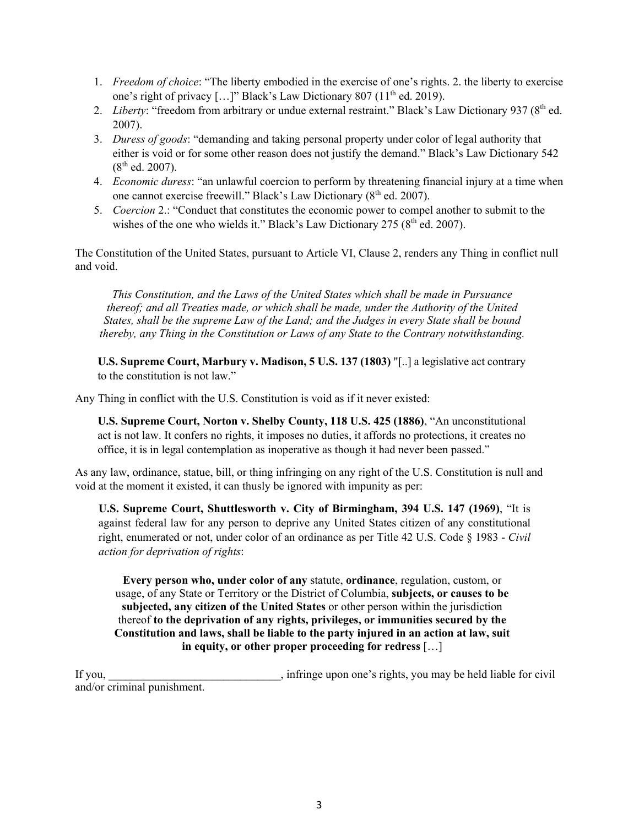- 1. *Freedom of choice*: "The liberty embodied in the exercise of one's rights. 2. the liberty to exercise one's right of privacy  $[\ldots]$ " Black's Law Dictionary 807 (11<sup>th</sup> ed. 2019).
- 2. *Liberty*: "freedom from arbitrary or undue external restraint." Black's Law Dictionary 937 (8<sup>th</sup> ed. 2007).
- 3. *Duress of goods*: "demanding and taking personal property under color of legal authority that either is void or for some other reason does not justify the demand." Black's Law Dictionary 542  $(8<sup>th</sup>$  ed. 2007).
- 4. *Economic duress*: "an unlawful coercion to perform by threatening financial injury at a time when one cannot exercise freewill." Black's Law Dictionary (8<sup>th</sup> ed. 2007).
- 5. *Coercion* 2.: "Conduct that constitutes the economic power to compel another to submit to the wishes of the one who wields it." Black's Law Dictionary 275 ( $8<sup>th</sup>$  ed. 2007).

The Constitution of the United States, pursuant to Article VI, Clause 2, renders any Thing in conflict null and void.

*This Constitution, and the Laws of the United States which shall be made in Pursuance thereof; and all Treaties made, or which shall be made, under the Authority of the United States, shall be the supreme Law of the Land; and the Judges in every State shall be bound thereby, any Thing in the Constitution or Laws of any State to the Contrary notwithstanding.*

**U.S. Supreme Court, Marbury v. Madison, 5 U.S. 137 (1803)** "[..] a legislative act contrary to the constitution is not law."

Any Thing in conflict with the U.S. Constitution is void as if it never existed:

**U.S. Supreme Court, Norton v. Shelby County, 118 U.S. 425 (1886)**, "An unconstitutional act is not law. It confers no rights, it imposes no duties, it affords no protections, it creates no office, it is in legal contemplation as inoperative as though it had never been passed."

As any law, ordinance, statue, bill, or thing infringing on any right of the U.S. Constitution is null and void at the moment it existed, it can thusly be ignored with impunity as per:

**U.S. Supreme Court, Shuttlesworth v. City of Birmingham, 394 U.S. 147 (1969)**, "It is against federal law for any person to deprive any United States citizen of any constitutional right, enumerated or not, under color of an ordinance as per Title 42 U.S. Code § 1983 - *Civil action for deprivation of rights*:

**Every person who, under color of any** statute, **ordinance**, regulation, custom, or usage, of any State or Territory or the District of Columbia, **subjects, or causes to be subjected, any citizen of the United States** or other person within the jurisdiction thereof **to the deprivation of any rights, privileges, or immunities secured by the Constitution and laws, shall be liable to the party injured in an action at law, suit in equity, or other proper proceeding for redress** […]

If you, infringe upon one's rights, you may be held liable for civil and/or criminal punishment.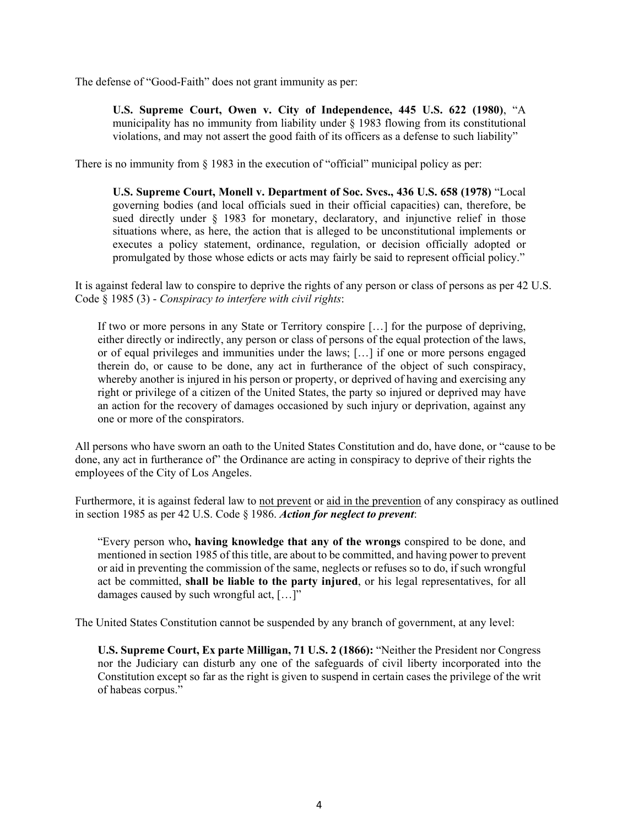The defense of "Good-Faith" does not grant immunity as per:

**U.S. Supreme Court, Owen v. City of Independence, 445 U.S. 622 (1980)**, "A municipality has no immunity from liability under § 1983 flowing from its constitutional violations, and may not assert the good faith of its officers as a defense to such liability"

There is no immunity from § 1983 in the execution of "official" municipal policy as per:

**U.S. Supreme Court, Monell v. Department of Soc. Svcs., 436 U.S. 658 (1978)** "Local governing bodies (and local officials sued in their official capacities) can, therefore, be sued directly under § 1983 for monetary, declaratory, and injunctive relief in those situations where, as here, the action that is alleged to be unconstitutional implements or executes a policy statement, ordinance, regulation, or decision officially adopted or promulgated by those whose edicts or acts may fairly be said to represent official policy."

It is against federal law to conspire to deprive the rights of any person or class of persons as per 42 U.S. Code § 1985 (3) - *Conspiracy to interfere with civil rights*:

If two or more persons in any State or Territory conspire […] for the purpose of depriving, either directly or indirectly, any person or class of persons of the equal protection of the laws, or of equal privileges and immunities under the laws; […] if one or more persons engaged therein do, or cause to be done, any act in furtherance of the object of such conspiracy, whereby another is injured in his person or property, or deprived of having and exercising any right or privilege of a citizen of the United States, the party so injured or deprived may have an action for the recovery of damages occasioned by such injury or deprivation, against any one or more of the conspirators.

All persons who have sworn an oath to the United States Constitution and do, have done, or "cause to be done, any act in furtherance of" the Ordinance are acting in conspiracy to deprive of their rights the employees of the City of Los Angeles.

Furthermore, it is against federal law to not prevent or aid in the prevention of any conspiracy as outlined in section 1985 as per 42 U.S. Code § 1986. *Action for neglect to prevent*:

"Every person who**, having knowledge that any of the wrongs** conspired to be done, and mentioned in section 1985 of this title, are about to be committed, and having power to prevent or aid in preventing the commission of the same, neglects or refuses so to do, if such wrongful act be committed, **shall be liable to the party injured**, or his legal representatives, for all damages caused by such wrongful act, [...]"

The United States Constitution cannot be suspended by any branch of government, at any level:

**U.S. Supreme Court, Ex parte Milligan, 71 U.S. 2 (1866):** "Neither the President nor Congress nor the Judiciary can disturb any one of the safeguards of civil liberty incorporated into the Constitution except so far as the right is given to suspend in certain cases the privilege of the writ of habeas corpus."